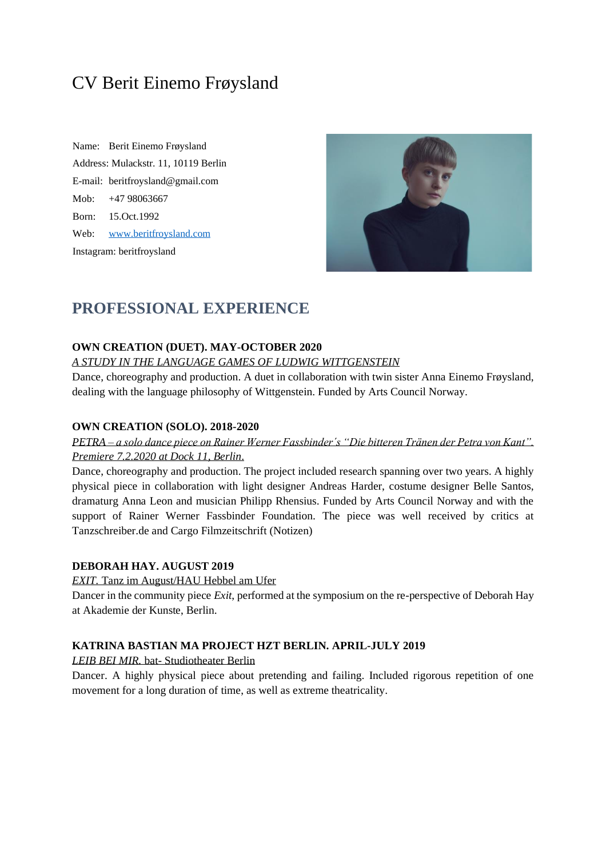# CV Berit Einemo Frøysland

Name: Berit Einemo Frøysland Address: Mulackstr. 11, 10119 Berlin E-mail: [beritfroysland@gmail.com](mailto:beritfroysland@gmail.com) Mob: +47 98063667 Born: 15.Oct.1992 Web: [www.beritfroysland.com](http://www.beritfroysland.com/) Instagram: beritfroysland



## **PROFESSIONAL EXPERIENCE**

#### **OWN CREATION (DUET). MAY-OCTOBER 2020**

#### *A STUDY IN THE LANGUAGE GAMES OF LUDWIG WITTGENSTEIN*

Dance, choreography and production. A duet in collaboration with twin sister Anna Einemo Frøysland, dealing with the language philosophy of Wittgenstein. Funded by Arts Council Norway.

#### **OWN CREATION (SOLO). 2018-2020**

## *PETRA – a solo dance piece on Rainer Werner Fassbinder´s "Die bitteren Tränen der Petra von Kant". Premiere 7.2.2020 at Dock 11, Berlin*.

Dance, choreography and production. The project included research spanning over two years. A highly physical piece in collaboration with light designer Andreas Harder, costume designer Belle Santos, dramaturg Anna Leon and musician Philipp Rhensius. Funded by Arts Council Norway and with the support of Rainer Werner Fassbinder Foundation. The piece was well received by critics at Tanzschreiber.de and Cargo Filmzeitschrift (Notizen)

#### **DEBORAH HAY. AUGUST 2019**

*EXIT.* Tanz im August/HAU Hebbel am Ufer

Dancer in the community piece *Exit*, performed at the symposium on the re-perspective of Deborah Hay at Akademie der Kunste, Berlin.

### **KATRINA BASTIAN MA PROJECT HZT BERLIN. APRIL-JULY 2019**

#### *LEIB BEI MIR.* bat- Studiotheater Berlin

Dancer. A highly physical piece about pretending and failing. Included rigorous repetition of one movement for a long duration of time, as well as extreme theatricality.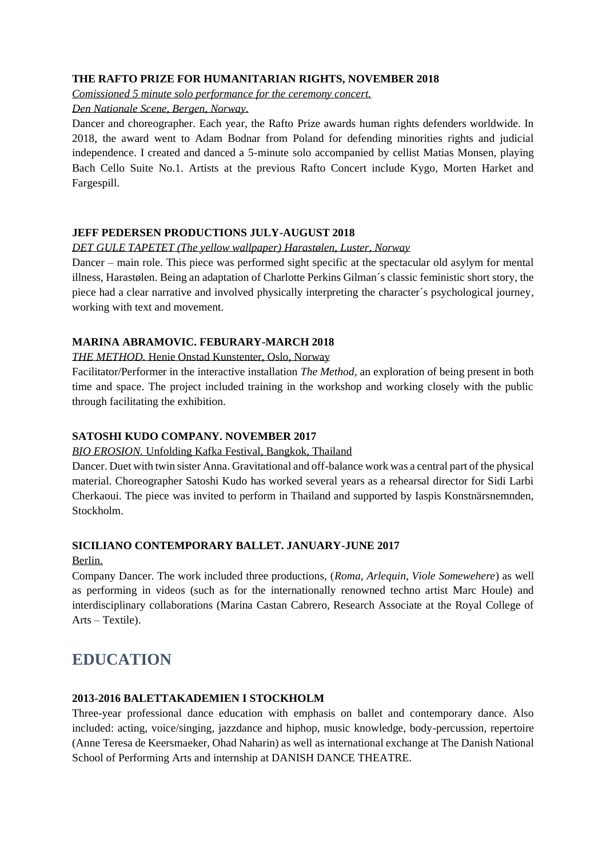### **THE RAFTO PRIZE FOR HUMANITARIAN RIGHTS, NOVEMBER 2018**

*Comissioned 5 minute solo performance for the ceremony concert.* 

*Den Nationale Scene, Bergen, Norway.* 

Dancer and choreographer. Each year, the Rafto Prize awards human rights defenders worldwide. In 2018, the award went to Adam Bodnar from Poland for defending minorities rights and judicial independence. I created and danced a 5-minute solo accompanied by cellist Matias Monsen, playing Bach Cello Suite No.1. Artists at the previous Rafto Concert include Kygo, Morten Harket and Fargespill.

## **JEFF PEDERSEN PRODUCTIONS JULY-AUGUST 2018**

#### *DET GULE TAPETET (The yellow wallpaper) Harastølen, Luster, Norway*

Dancer – main role. This piece was performed sight specific at the spectacular old asylym for mental illness, Harastølen. Being an adaptation of Charlotte Perkins Gilman´s classic feministic short story, the piece had a clear narrative and involved physically interpreting the character´s psychological journey, working with text and movement.

### **MARINA ABRAMOVIC. FEBURARY-MARCH 2018**

#### *THE METHOD.* Henie Onstad Kunstenter, Oslo, Norway

Facilitator/Performer in the interactive installation *The Method*, an exploration of being present in both time and space. The project included training in the workshop and working closely with the public through facilitating the exhibition.

### **SATOSHI KUDO COMPANY. NOVEMBER 2017**

#### *BIO EROSION.* Unfolding Kafka Festival, Bangkok, Thailand

Dancer. Duet with twin sister Anna. Gravitational and off-balance work was a central part of the physical material. Choreographer Satoshi Kudo has worked several years as a rehearsal director for Sidi Larbi Cherkaoui. The piece was invited to perform in Thailand and supported by Iaspis Konstnärsnemnden, Stockholm.

#### **SICILIANO CONTEMPORARY BALLET. JANUARY-JUNE 2017**

Berlin.

Company Dancer. The work included three productions, (*Roma, Arlequin, Viole Somewehere*) as well as performing in videos (such as for the internationally renowned techno artist Marc Houle) and interdisciplinary collaborations (Marina Castan Cabrero, Research Associate at the Royal College of Arts – Textile).

## **EDUCATION**

### **2013-2016 BALETTAKADEMIEN I STOCKHOLM**

Three-year professional dance education with emphasis on ballet and contemporary dance. Also included: acting, voice/singing, jazzdance and hiphop, music knowledge, body-percussion, repertoire (Anne Teresa de Keersmaeker, Ohad Naharin) as well as international exchange at The Danish National School of Performing Arts and internship at DANISH DANCE THEATRE.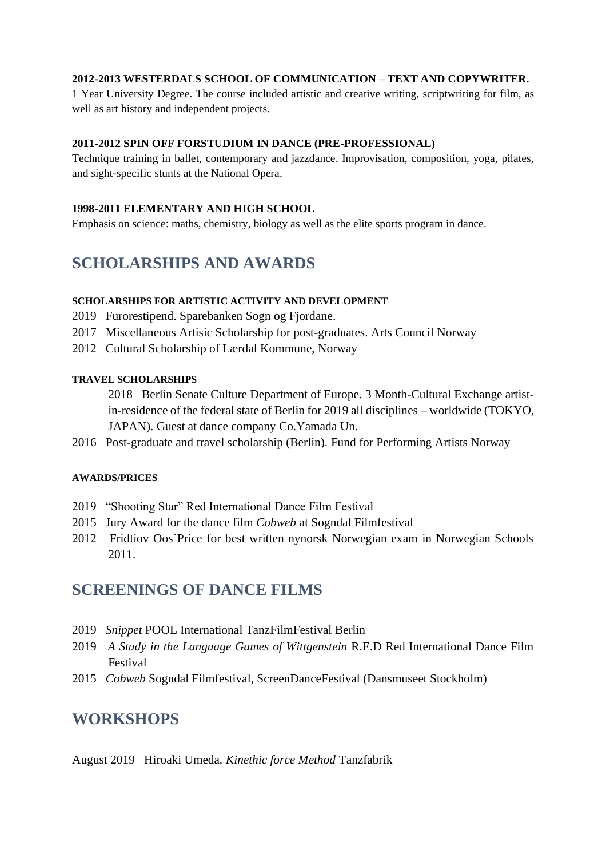### **2012-2013 WESTERDALS SCHOOL OF COMMUNICATION – TEXT AND COPYWRITER.**

1 Year University Degree. The course included artistic and creative writing, scriptwriting for film, as well as art history and independent projects.

#### **2011-2012 SPIN OFF FORSTUDIUM IN DANCE (PRE-PROFESSIONAL)**

Technique training in ballet, contemporary and jazzdance. Improvisation, composition, yoga, pilates, and sight-specific stunts at the National Opera.

#### **1998-2011 ELEMENTARY AND HIGH SCHOOL**

Emphasis on science: maths, chemistry, biology as well as the elite sports program in dance.

## **SCHOLARSHIPS AND AWARDS**

#### **SCHOLARSHIPS FOR ARTISTIC ACTIVITY AND DEVELOPMENT**

- 2019 Furorestipend. Sparebanken Sogn og Fjordane.
- 2017 Miscellaneous Artisic Scholarship for post-graduates. Arts Council Norway
- 2012 Cultural Scholarship of Lærdal Kommune, Norway

#### **TRAVEL SCHOLARSHIPS**

2018 Berlin Senate Culture Department of Europe. 3 Month-Cultural Exchange artistin-residence of the federal state of Berlin for 2019 all disciplines – worldwide (TOKYO, JAPAN). Guest at dance company Co.Yamada Un.

2016 Post-graduate and travel scholarship (Berlin). Fund for Performing Artists Norway

#### **AWARDS/PRICES**

- 2019 "Shooting Star" Red International Dance Film Festival
- 2015 Jury Award for the dance film *Cobweb* at Sogndal Filmfestival
- 2012 Fridtiov Oos´Price for best written nynorsk Norwegian exam in Norwegian Schools 2011.

## **SCREENINGS OF DANCE FILMS**

- 2019 *Snippet* POOL International TanzFilmFestival Berlin
- 2019 *A Study in the Language Games of Wittgenstein* R.E.D Red International Dance Film Festival
- 2015 *Cobweb* Sogndal Filmfestival, ScreenDanceFestival (Dansmuseet Stockholm)

## **WORKSHOPS**

August 2019 Hiroaki Umeda. *Kinethic force Method* Tanzfabrik